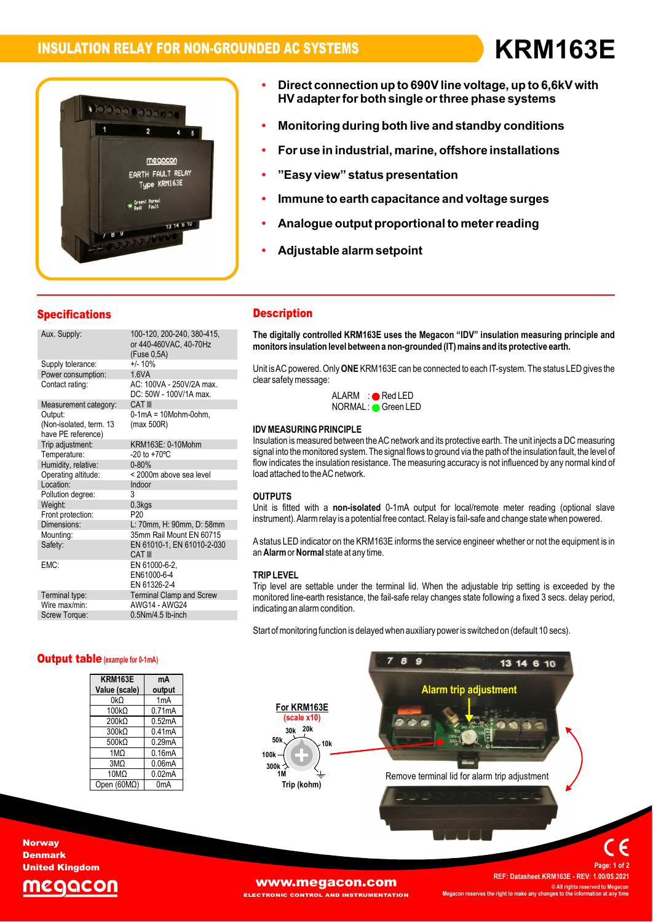# **INSULATION RELAY FOR NON-GROUNDED AC SYSTEMS KRM163EIED** AGS



- **connection up to 690Vline voltage, up to 6,6kV with both single orthree phase systems Monitoring during both live and standby conditions**
- **In** it industed the marked mathemorrous<br>For use in industrial. marine. offshore installations **ï**
- **îEasy viewî status presentation**
- "Easy vi
- **to earth capacitance and voltage surges Analogue output proportional to meterreading**
- Analogue output proportional t<mark>e</mark><br>Adiustable alarm setpoint **ï**
- Adjustable alarm setpoint

**HVadapterfor**

#### Specifications **Description**

|  | opecifications                                                                    |                                                                                                      | 끄士                           |
|--|-----------------------------------------------------------------------------------|------------------------------------------------------------------------------------------------------|------------------------------|
|  | Aux. Supply:                                                                      | 100-120, 200-240, 380-415,<br>or 440-460VAC, 40-70Hz<br>(Fuse 0,5A)                                  | <b>The</b><br>mon            |
|  | Supply tolerance:<br>Power consumption:<br>Contact rating:                        | $+/- 10%$<br>1.6VA<br>AC: 100VA - 250V/2A max.<br>DC: 50W - 100V/1A max.                             | Unit<br>clea                 |
|  | Measurement category:<br>Output:<br>(Non-isolated, term. 13<br>have PE reference) | <b>CAT III</b><br>$0-1mA = 10Mohm-0ohm$ .<br>(max 500R)                                              | <b>IDV</b>                   |
|  | Trip adjustment:<br>Temperature:<br>Humidity, relative:<br>Operating altitude:    | KRM163E: 0-10Mohm<br>$-20$ to $+70^{\circ}$ C<br>$0 - 80%$<br>< 2000m above sea level                | Insu<br>sign<br>flow<br>load |
|  | Location:<br>Pollution degree:<br>Weight:<br>Front protection:<br>Dimensions:     | Indoor<br>3<br>$0.3k$ gs<br>P <sub>20</sub><br>L: 70mm, H: 90mm, D: 58mm                             | OUT<br>Unit<br>instr         |
|  | Mounting:<br>Safety:<br>EMC:                                                      | 35mm Rail Mount EN 60715<br>EN 61010-1, EN 61010-2-030<br>CAT III<br>EN 61000-6-2.                   | A sta<br>an A                |
|  | Terminal type:<br>Wire max/min:<br>Screw Torque:                                  | EN61000-6-4<br>EN 61326-2-4<br><b>Terminal Clamp and Screw</b><br>AWG14 - AWG24<br>0.5Nm/4.5 lb-inch | trif<br>Trip<br>mon<br>indic |
|  |                                                                                   |                                                                                                      |                              |

#### **Description**

**Description**<br>The digitally controlled KRM163E uses the Megacon "IDV" insulation measuring principle and<br>monitors insulation level between a non-grounded (IT) mains and its protective earth. monitors insulation level between a non-grounded (IT) mains and its protective earth.

monitors insulation level between a non-grounded (i i ) mains and its protective earth.<br>Unit is AC powered. Only ONE KRM163E can be connected to each IT-system. The status LED gives the<br>clear safety message: ALARM·<br>ALARM :● Red LED

**IDVERINGEREE GREEVERS**<br>IDVALING GREEN CORRESPONDED

#### $\sum_{i=1}^{n}$ ida Mi

load attached to the AC network. **SURING PRINCIPLE**<br>is measured between the AC network and its protective earth. The unit injects a DC measuring insulation is measured between the AC network and its protective earth. The unit injects a DC measuring<br>Insulation is measured between the AC network and its protective earth. The unit injects a DC measuring<br>signal into th insulation is measured between the AC hetwork and its protective earth. The unit injects a DC measuring<br>signal into the monitored system. The signal flows to ground via the path of the insulation fault, the level of<br>flow i flow indicates the insulation resistance. The measuring accuracy is not influenced by any normal kind of

#### **OUTPUTS**

**OUTPUTS**<br>Unit is fitted with a **non-isolated** 0-1mA output for local/remote meter reading (optional slave<br>instrument). Alarm relay is a potential free contact. Relay is fail-safe and change state when powered

tatus LED indicator on<br>**Alarm** or **Normal** state an **Alarm** or **Normal** state at any time. instrument). Alammelay is a potential free contact. Relay is fair-sale and change state when powered.<br>A status LED indicator on the KRM163E informs the service engineer whether or not the equipment is in<br>an **Alarm** or **Nor** 

#### **TRIP LEVEL**

**TRIP LEVEL**<br>Trip level are settable under the terminal lid. When the adjustable trip setting is exceeded by the<br>monitored line-earth resistance, the fail-safe relav changes state following a fixed 3 secs, delav period, monitored line-earth resistance, the fail-safe relay changes state following a fixed 3 secs. delay period, indicating an alarm condition.

Start of monitoring function is delayed when auxiliary power is switched on (default 10 secs).



**KRM163E**Output table**(example for 0-1mA)Valueoutput**

| <b>KRM163E</b>     | mA                  |
|--------------------|---------------------|
| Value (scale)      | output              |
| 0kΩ                | 1 <sub>m</sub> A    |
| $100k\Omega$       | 0.71mA              |
| $200k\Omega$       | 0.52mA              |
| $300k\Omega$       | 0.41 <sub>m</sub> A |
| $500k\Omega$       | 0.29mA              |
| 1M <sub>Ω</sub>    | 0.16mA              |
| $3M\Omega$         | 0.06 <sub>m</sub> A |
| $10M\Omega$        | 0.02mA              |
| Open $(60M\Omega)$ | 0 <sub>m</sub> A    |

**Norway** Denmark United Kingdom

[www.megacon.com](http://www.megacon.com)

 **All rights reserved to Megacon Megaconreserves the right to make any changes to the information at any time**

ECTRONIC CONTROL AND INSTRUMENTATION